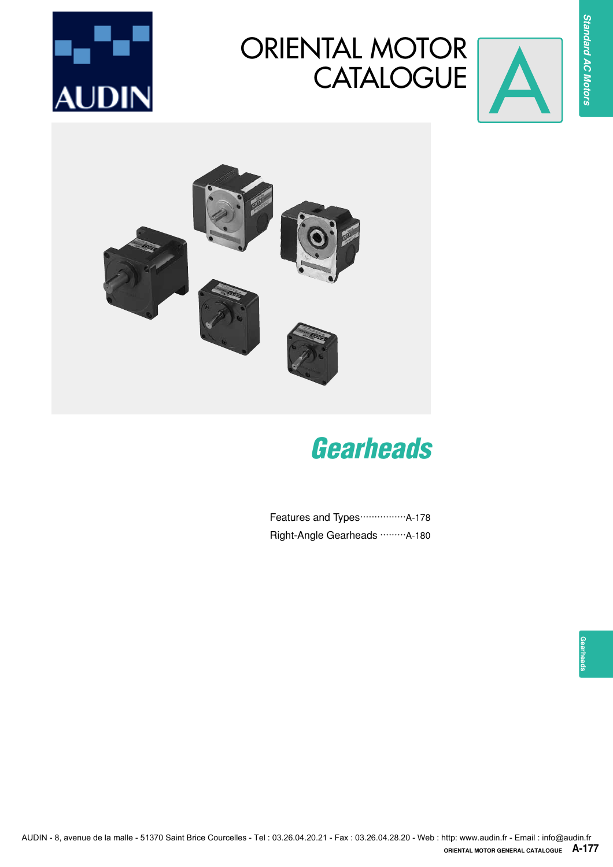

# ORIENTAL MOTOR CATALOGUE





# *Gearheads*

Features and Types ······················A-178 Right-Angle Gearheads ·········· A-180

**Standard AC Motors**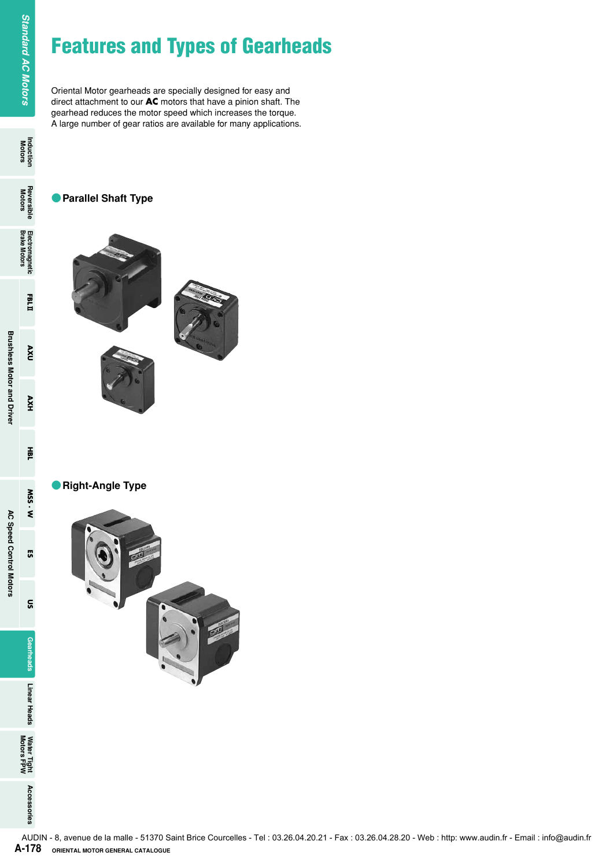# **Features and Types of Gearheads**

Oriental Motor gearheads are specially designed for easy and direct attachment to our **AC** motors that have a pinion shaft. The gearhead reduces the motor speed which increases the torque. A large number of gear ratios are available for many applications.

# ●**Parallel Shaft Type**



●**Right-Angle Type**



**Standard AC Motors** 

FBLI

 $\mathbf{V}$ 

AXH

ΗÃ

M.SS.W

53

ទ្ធ

Gearheads

Linear Heads

Water Tight<br>Motors FPW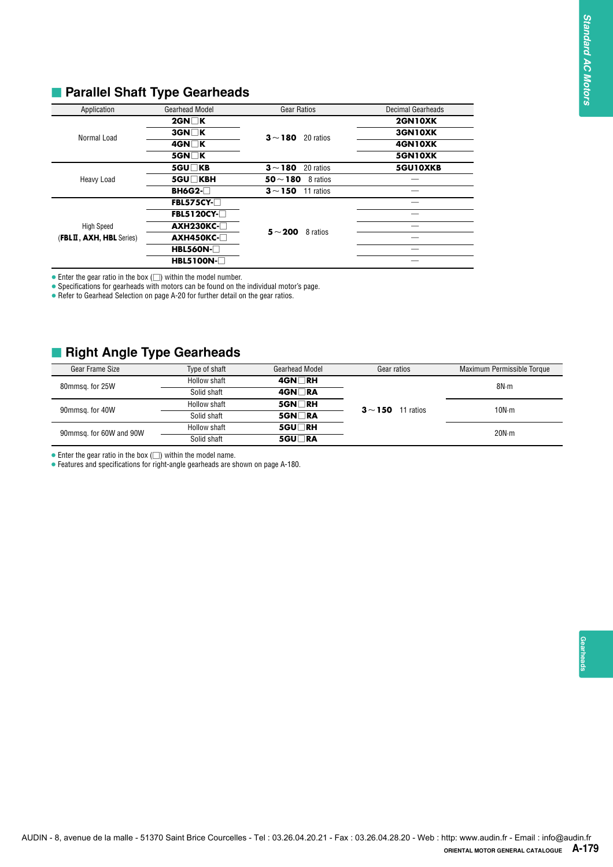| Application              | <b>Gearhead Model</b> | <b>Gear Ratios</b>        | <b>Decimal Gearheads</b> |
|--------------------------|-----------------------|---------------------------|--------------------------|
|                          | $2$ GN $\Box$ K       |                           | 2GN10XK                  |
| Normal Load              | $3$ GN $\Box$ K       | $3 - 180$ 20 ratios       | 3GN10XK                  |
|                          | 4GN∏K                 |                           | 4GN10XK                  |
|                          | $5$ GN $\Box$ K       |                           | <b>5GN10XK</b>           |
|                          | 5GU□KB                | $3 - 180$<br>20 ratios    | 5GU10XKB                 |
| Heavy Load               | 5GU□KBH               | 50 $\sim$ 180<br>8 ratios |                          |
|                          | $BH6G2-\Box$          | $3 - 150$<br>11 ratios    |                          |
|                          | $FBL575CY-T$          |                           |                          |
|                          | $FBL5120CY-T$         |                           |                          |
| <b>High Speed</b>        | $AXH230KC-$           | 5 $\sim$ 200<br>8 ratios  |                          |
| (FBLII, AXH, HBL Series) | $AXH450KC-$           |                           |                          |
|                          | <b>HBL560N-</b>       |                           |                          |
|                          | $HBL5100N-T$          |                           |                          |

# **E** Parallel Shaft Type Gearheads

# **Right Angle Type Gearheads**

| $3$ GN $\Box$ K<br>3GN10XK<br>Normal Load<br>$3 - 180$ 20 ratios<br>4GN□K<br>4GN10XK<br>$5$ GN $\Box$ K<br>5GN10XK<br>5GU□KB<br>$3\!\sim\!180$<br>20 ratios<br>5GU10XKB<br>Heavy Load<br>$50 \sim 180$ 8 ratios<br>5GU□KBH<br><b>BH6G2-</b> □<br>$3 \sim 150$ 11 ratios<br>FBL575CY-□<br><b>FBL5120CY-□</b><br><b>AXH230KC-□</b><br><b>High Speed</b><br>$\overline{\phantom{m}}$<br>$5 - 200$ 8 ratios<br><b>AXH450KC-</b><br>$\overline{\phantom{0}}$<br><b>HBL560N-</b><br>HBL5100N- <sup>1</sup><br>Gear Frame Size<br>Maximum Permissible Torque<br>Type of shaft<br><b>Gearhead Model</b><br>Gear ratios<br><b>Hollow shaft</b><br>$4$ GN $\Box$ RH<br>8N m<br>Solid shaft<br>4GN□RA<br>Hollow shaft<br>5GN□RH<br>$3 - 150$ 11 ratios<br>10N·m<br>Solid shaft<br>5GN□RA<br>5GU□RH<br>Hollow shaft<br>20N·m<br>5GU□RA<br>Solid shaft | Application             | <b>Gearhead Model</b> | <b>Gear Ratios</b> | Decimal Gearheads<br>2GN10XK |  |
|-------------------------------------------------------------------------------------------------------------------------------------------------------------------------------------------------------------------------------------------------------------------------------------------------------------------------------------------------------------------------------------------------------------------------------------------------------------------------------------------------------------------------------------------------------------------------------------------------------------------------------------------------------------------------------------------------------------------------------------------------------------------------------------------------------------------------------------------|-------------------------|-----------------------|--------------------|------------------------------|--|
|                                                                                                                                                                                                                                                                                                                                                                                                                                                                                                                                                                                                                                                                                                                                                                                                                                           |                         | $2$ GN $\Box$ K       |                    |                              |  |
| (FBLII, AXH, HBL Series)<br>$\bullet$ Enter the gear ratio in the box $(\Box)$ within the model number.<br>• Specifications for gearheads with motors can be found on the individual motor's page.<br>• Refer to Gearhead Selection on page A-20 for further detail on the gear ratios.<br><b>Right Angle Type Gearheads</b>                                                                                                                                                                                                                                                                                                                                                                                                                                                                                                              |                         |                       |                    |                              |  |
|                                                                                                                                                                                                                                                                                                                                                                                                                                                                                                                                                                                                                                                                                                                                                                                                                                           |                         |                       |                    |                              |  |
|                                                                                                                                                                                                                                                                                                                                                                                                                                                                                                                                                                                                                                                                                                                                                                                                                                           |                         |                       |                    |                              |  |
|                                                                                                                                                                                                                                                                                                                                                                                                                                                                                                                                                                                                                                                                                                                                                                                                                                           |                         |                       |                    |                              |  |
|                                                                                                                                                                                                                                                                                                                                                                                                                                                                                                                                                                                                                                                                                                                                                                                                                                           |                         |                       |                    |                              |  |
|                                                                                                                                                                                                                                                                                                                                                                                                                                                                                                                                                                                                                                                                                                                                                                                                                                           |                         |                       |                    |                              |  |
|                                                                                                                                                                                                                                                                                                                                                                                                                                                                                                                                                                                                                                                                                                                                                                                                                                           |                         |                       |                    |                              |  |
|                                                                                                                                                                                                                                                                                                                                                                                                                                                                                                                                                                                                                                                                                                                                                                                                                                           |                         |                       |                    |                              |  |
|                                                                                                                                                                                                                                                                                                                                                                                                                                                                                                                                                                                                                                                                                                                                                                                                                                           |                         |                       |                    |                              |  |
|                                                                                                                                                                                                                                                                                                                                                                                                                                                                                                                                                                                                                                                                                                                                                                                                                                           |                         |                       |                    |                              |  |
| 90mmsq. for 40W<br>• Enter the gear ratio in the box $(\square)$ within the model name.<br>• Features and specifications for right-angle gearheads are shown on page A-180.                                                                                                                                                                                                                                                                                                                                                                                                                                                                                                                                                                                                                                                               | 80mmsq. for 25W         |                       |                    |                              |  |
|                                                                                                                                                                                                                                                                                                                                                                                                                                                                                                                                                                                                                                                                                                                                                                                                                                           |                         |                       |                    |                              |  |
|                                                                                                                                                                                                                                                                                                                                                                                                                                                                                                                                                                                                                                                                                                                                                                                                                                           |                         |                       |                    |                              |  |
|                                                                                                                                                                                                                                                                                                                                                                                                                                                                                                                                                                                                                                                                                                                                                                                                                                           |                         |                       |                    |                              |  |
|                                                                                                                                                                                                                                                                                                                                                                                                                                                                                                                                                                                                                                                                                                                                                                                                                                           |                         |                       |                    |                              |  |
|                                                                                                                                                                                                                                                                                                                                                                                                                                                                                                                                                                                                                                                                                                                                                                                                                                           |                         |                       |                    |                              |  |
|                                                                                                                                                                                                                                                                                                                                                                                                                                                                                                                                                                                                                                                                                                                                                                                                                                           |                         |                       |                    |                              |  |
|                                                                                                                                                                                                                                                                                                                                                                                                                                                                                                                                                                                                                                                                                                                                                                                                                                           | 90mmsq. for 60W and 90W |                       |                    |                              |  |
|                                                                                                                                                                                                                                                                                                                                                                                                                                                                                                                                                                                                                                                                                                                                                                                                                                           |                         |                       |                    |                              |  |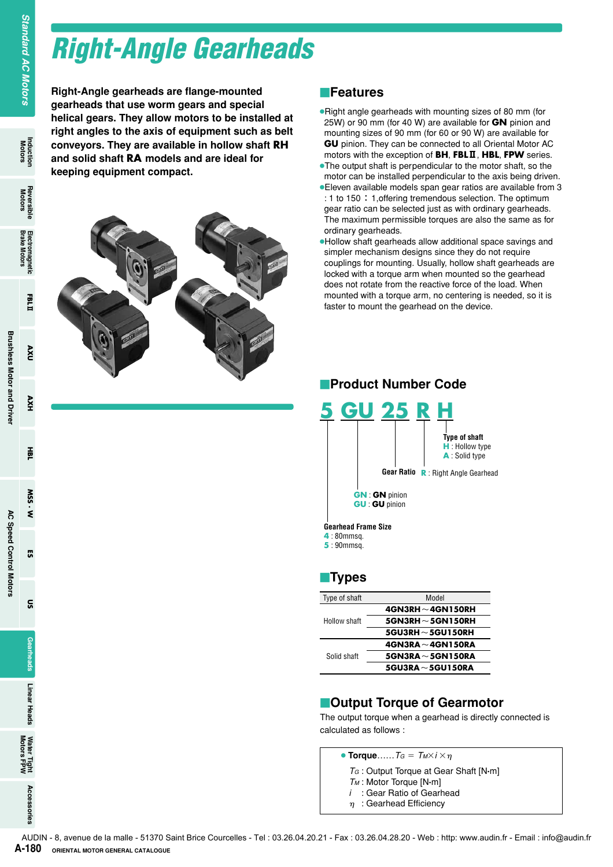# *Right-Angle Gearheads*

**Right-Angle gearheads are flange-mounted gearheads that use worm gears and special helical gears. They allow motors to be installed at right angles to the axis of equipment such as belt conveyors. They are available in hollow shaft RH and solid shaft RA models and are ideal for keeping equipment compact.**

# **Pright:** Angle geartheads that use worm<br>
right: Angle geartheads that use worm<br>
registrating conveyors. They are availed shart RA model<br>
and solid shart RA model<br>
seeping equipment com<br>
registrating equipment com<br>
RA-180

# **Features**

- ●Right angle gearheads with mounting sizes of 80 mm (for 25W) or 90 mm (for 40 W) are available for **GN** pinion and mounting sizes of 90 mm (for 60 or 90 W) are available for **GU** pinion. They can be connected to all Oriental Motor AC motors with the exception of **BH**, **FBL**2, **HBL**, **FPW** series.
- ●The output shaft is perpendicular to the motor shaft, so the motor can be installed perpendicular to the axis being driven.
- ●Eleven available models span gear ratios are available from 3 : 1 to 150: 1, offering tremendous selection. The optimum gear ratio can be selected just as with ordinary gearheads. The maximum permissible torques are also the same as for ordinary gearheads.
- ●Hollow shaft gearheads allow additional space savings and simpler mechanism designs since they do not require couplings for mounting. Usually, hollow shaft gearheads are locked with a torque arm when mounted so the gearhead does not rotate from the reactive force of the load. When mounted with a torque arm, no centering is needed, so it is faster to mount the gearhead on the device.



# -**Types**

| Type of shaft | Model                     |
|---------------|---------------------------|
|               | $4$ GN3RH ~ 4GN150RH      |
| Hollow shaft  | 5GN3RH $\sim$ 5GN150RH    |
|               | $5$ GU3RH $\sim$ 5GU150RH |
|               | $4$ GN3RA ~ 4GN150RA      |
| Solid shaft   | $5$ GN3RA ~ 5GN150RA      |
|               | $5$ GU3RA $\sim$ 5GU150RA |

# **Example 1 Torque of Gearmotor**

The output torque when a gearhead is directly connected is calculated as follows :

 $\bullet$  **Torque**……*TG* =  $T_M \times i \times \eta$ 

- *TG* : Output Torque at Gear Shaft [N**.**m]
- *TM* : Motor Torque [N**.**m]
- *i* : Gear Ratio of Gearhead
- $\eta$ : Gearhead Efficiency

**AXU** 

HXV

픑

SSW  $\dot{\mathbf{z}}$ 

**G** 

 $\tilde{a}$ 

**Gearheads** 

Linear Heads

Water Tight<br>Motors FPW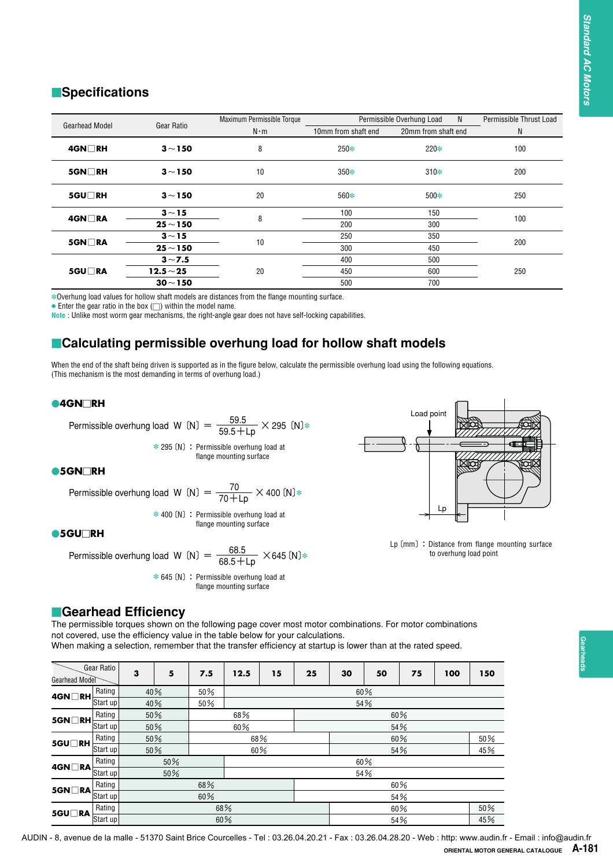# **E**Specifications

| <b>Specifications</b>                                                        |                                                                                                                                                                                                                                                                                                                                     |            |                                                                       |    |                     |                           |                     |                        |                                                 |
|------------------------------------------------------------------------------|-------------------------------------------------------------------------------------------------------------------------------------------------------------------------------------------------------------------------------------------------------------------------------------------------------------------------------------|------------|-----------------------------------------------------------------------|----|---------------------|---------------------------|---------------------|------------------------|-------------------------------------------------|
| <b>Gearhead Model</b>                                                        | Gear Ratio                                                                                                                                                                                                                                                                                                                          |            | Maximum Permissible Torque<br>$N \cdot m$                             |    | 10mm from shaft end | Permissible Overhung Load | 20mm from shaft end | N                      | Permissible Thrust Load<br>N                    |
| 4GN□RH                                                                       | $3 - 150$                                                                                                                                                                                                                                                                                                                           |            | 8                                                                     |    | 250*                |                           | 220*                |                        | 100                                             |
| 5GN□RH                                                                       | $3 - 150$                                                                                                                                                                                                                                                                                                                           |            | 10                                                                    |    | $350*$              |                           | $310*$              |                        | 200                                             |
| 5GU∏RH                                                                       | $3 - 150$                                                                                                                                                                                                                                                                                                                           |            | 20                                                                    |    | 560*                |                           | $500*$              |                        | 250                                             |
| 4GN□RA                                                                       | $3 - 15$                                                                                                                                                                                                                                                                                                                            |            | 8                                                                     |    | 100                 |                           | 150                 |                        | 100                                             |
|                                                                              | $25 - 150$                                                                                                                                                                                                                                                                                                                          |            |                                                                       |    | 200                 |                           | 300                 |                        |                                                 |
| $5$ GN $\Box$ RA                                                             | $3 - 15$                                                                                                                                                                                                                                                                                                                            |            | 10                                                                    |    | 250                 |                           | 350                 |                        | 200                                             |
|                                                                              | $25 - 150$                                                                                                                                                                                                                                                                                                                          |            |                                                                       |    | 300                 |                           | 450                 |                        |                                                 |
|                                                                              | $3 - 7.5$                                                                                                                                                                                                                                                                                                                           |            |                                                                       |    | 400                 |                           | 500                 |                        |                                                 |
| 5GU□RA                                                                       | $12.5 - 25$<br>$30 - 150$                                                                                                                                                                                                                                                                                                           |            | 20                                                                    |    | 450<br>500          |                           | 600<br>700          |                        | 250                                             |
|                                                                              | Note : Unlike most worm gear mechanisms, the right-angle gear does not have self-locking capabilities.<br>■Calculating permissible overhung load for hollow shaft models                                                                                                                                                            |            |                                                                       |    |                     |                           |                     |                        |                                                 |
|                                                                              | When the end of the shaft being driven is supported as in the figure below, calculate the permissible overhung load using the following equations.<br>(This mechanism is the most demanding in terms of overhung load.)                                                                                                             |            |                                                                       |    |                     |                           |                     |                        |                                                 |
| $\bullet$ 4GN $\Box$ RH                                                      |                                                                                                                                                                                                                                                                                                                                     |            |                                                                       |    |                     |                           |                     |                        |                                                 |
|                                                                              | Permissible overhung load W (N) = $\frac{59.5}{59.5 + \text{Lp}} \times 295$ (N)*                                                                                                                                                                                                                                                   |            |                                                                       |    |                     |                           | Load point          |                        |                                                 |
|                                                                              |                                                                                                                                                                                                                                                                                                                                     |            | $*$ 295 (N) : Permissible overhung load at<br>flange mounting surface |    |                     |                           |                     |                        |                                                 |
|                                                                              |                                                                                                                                                                                                                                                                                                                                     |            |                                                                       |    |                     |                           |                     |                        |                                                 |
| $\bullet$ 5GN $\neg$ RH                                                      |                                                                                                                                                                                                                                                                                                                                     |            |                                                                       |    |                     |                           |                     |                        |                                                 |
|                                                                              | Permissible overhung load W (N) = $\frac{70}{70+Lp} \times 400$ (N) *                                                                                                                                                                                                                                                               |            |                                                                       |    |                     |                           |                     |                        |                                                 |
|                                                                              |                                                                                                                                                                                                                                                                                                                                     |            | $*$ 400 (N) : Permissible overhung load at                            |    |                     |                           | Lp                  |                        |                                                 |
|                                                                              |                                                                                                                                                                                                                                                                                                                                     |            | flange mounting surface                                               |    |                     |                           |                     |                        |                                                 |
| $•5GU\Box RH$                                                                | Permissible overhung load W (N) = $\frac{68.5}{68.5 + \text{Lp}}$ × 645 (N)*                                                                                                                                                                                                                                                        |            |                                                                       |    |                     |                           |                     | to overhung load point | Lp (mm) : Distance from flange mounting surface |
|                                                                              | ■Gearhead Efficiency<br>The permissible torques shown on the following page cover most motor combinations. For motor combinations<br>not covered, use the efficiency value in the table below for your calculations.<br>When making a selection, remember that the transfer efficiency at startup is lower than at the rated speed. |            | $*$ 645 (N) : Permissible overhung load at<br>flange mounting surface |    |                     |                           |                     |                        |                                                 |
| Gear Ratio                                                                   | 3<br>5                                                                                                                                                                                                                                                                                                                              | 7.5        | 12.5<br>15                                                            | 25 | 30                  | 50                        | 75                  | 100<br>150             |                                                 |
| Rating                                                                       | 40%                                                                                                                                                                                                                                                                                                                                 | 50%        |                                                                       |    |                     | 60%                       |                     |                        |                                                 |
| Start up                                                                     | 40%                                                                                                                                                                                                                                                                                                                                 | $50\%$     |                                                                       |    |                     | 54%                       |                     |                        |                                                 |
| Rating                                                                       | 50%                                                                                                                                                                                                                                                                                                                                 |            | 68%                                                                   |    |                     | 60%                       |                     |                        |                                                 |
| Start up                                                                     |                                                                                                                                                                                                                                                                                                                                     |            |                                                                       |    |                     |                           |                     |                        |                                                 |
|                                                                              | 50%                                                                                                                                                                                                                                                                                                                                 |            | 60%                                                                   |    |                     | 54%                       |                     |                        |                                                 |
| Rating<br>Start up                                                           | 50%                                                                                                                                                                                                                                                                                                                                 |            | 68%                                                                   |    |                     | 60%                       |                     | 50%                    |                                                 |
|                                                                              | 50%                                                                                                                                                                                                                                                                                                                                 |            | 60%                                                                   |    |                     | 54%                       |                     | 45%                    |                                                 |
| Rating                                                                       | 50%                                                                                                                                                                                                                                                                                                                                 |            |                                                                       |    |                     | 60%                       |                     |                        |                                                 |
| Start up                                                                     | 50%                                                                                                                                                                                                                                                                                                                                 |            |                                                                       |    |                     | 54%                       |                     |                        |                                                 |
| Gearhead Model<br>4GN ∏ RH<br>5GN□RH<br>5GU□RH<br>4GN□RA<br>Rating<br>5GN□RA |                                                                                                                                                                                                                                                                                                                                     | 68%        |                                                                       |    |                     | 60%                       |                     |                        |                                                 |
| Start up                                                                     |                                                                                                                                                                                                                                                                                                                                     | 60%        |                                                                       |    |                     | 54%                       |                     |                        |                                                 |
| Rating<br>5GU□RA<br>Start up                                                 |                                                                                                                                                                                                                                                                                                                                     | 68%<br>60% |                                                                       |    |                     | 60%<br>54%                |                     | 50%<br>45%             |                                                 |

# **Exalculating permissible overhung load for hollow shaft models**

# **4GNRH**

### **5GNRH**

## **5GURH**



# **E**Gearhead Efficiency

| Gearhead Model                               | Gear Ratio | 3 | 5   | 7.5 | 12.5 | 15 | 25 | 30  | 50  | 75  | 100 | 150    |  |
|----------------------------------------------|------------|---|-----|-----|------|----|----|-----|-----|-----|-----|--------|--|
|                                              | Rating     |   | 40% | 50% |      |    |    |     | 60% |     |     |        |  |
| $4$ GN $\Box$ RH $\frac{1}{\text{Start up}}$ |            |   | 40% | 50% |      |    |    | 54% |     |     |     |        |  |
| 5GN□RH                                       | Rating     |   | 50% |     | 68%  |    |    |     |     | 60% |     |        |  |
|                                              | Start up   |   | 50% |     | 60%  |    |    |     |     | 54% |     |        |  |
| 5GU□RH                                       | Rating     |   | 50% |     | 68%  |    |    |     |     | 60% |     | $50\%$ |  |
|                                              | Start up   |   | 50% |     | 60%  |    |    |     |     | 54% |     | 45%    |  |
| $4$ GN $\Box$ RA                             | Rating     |   | 50% |     |      |    |    |     | 60% |     |     |        |  |
|                                              | Start up   |   | 50% |     |      |    |    | 54% |     |     |     |        |  |
|                                              | Rating     |   |     | 68% |      |    |    | 60% |     |     |     |        |  |
| $5$ GN $\Box$ RA                             | Start up   |   |     | 60% |      |    |    | 54% |     |     |     |        |  |
|                                              | Rating     |   |     |     | 68%  |    |    |     |     | 60% |     | $50\%$ |  |
| 5GU□RA                                       | Start up   |   |     | 60% |      |    |    |     |     | 54% |     | 45%    |  |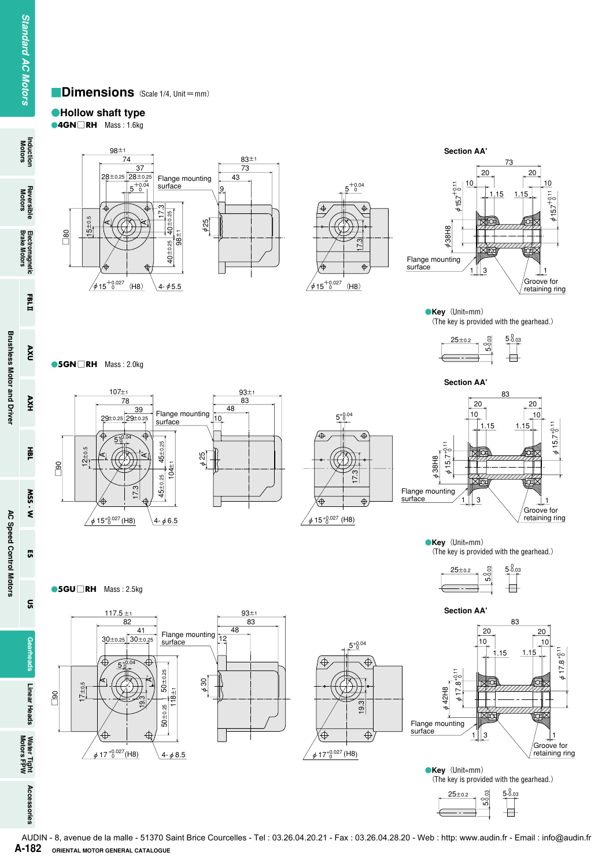# **Dimensions** (Scale 1/4, Unit=mm)

# **Hollow shaft type**

**4GN**□**RH** Mass : 1.6kg



**5GN**□**RH** Mass : 2.0kg







**Key**(Unit=mm) (The key is provided with the gearhead.)





AUDIN - 8, avenue de la malle - 51370 Saint Brice Courcelles - Tel : 03.26.04.20.21 - Fax : 03.26.04.28.20 - Web : http: www.audin.fr - Email : info@audin.frA-182 ORIENTAL MOTOR GENERAL CATALOGUE

Induction<br>Motors

**FBLI** 

 $\mathsf{nxv}$ 

53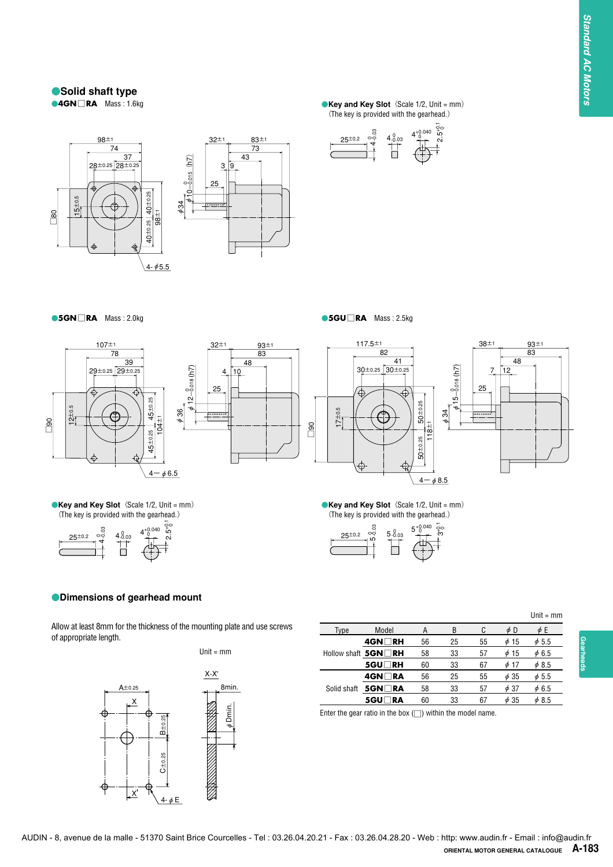# **Solid shaft type**<br>**CAGN** RA Mass: 1.6kg



**4 Key and Key Slot** (Scale 1/2, Unit = mm) (The key is provided with the gearhead.)





**5GN**□**RA** Mass : 2.0kg **5GU**□**RA** Mass : 2.5kg



 $25^{\pm0.2}$ 

4-0.03

**Key and Key Slot** (Scale 1/2, Unit = mm) (The key is provided with the gearhead.)

Ħ

 $4\substack{0.03 \\ -0.03}$   $4\substack{+0.03 \\ -0.03}$ +0.040

**Dimensions of gearhead mount**







**Key and Key Slot** (Scale 1/2, Unit = mm) (The key is provided with the gearhead.)



### $Unit = mm$

Allow at least 8mm for the thickness of the mounting plate and use screws of appropriate length.

2.5+0.1<br>2.5 1

φ36

Unit = mm



|      |                            |    |    |    |           | $11111 - 111111$ |
|------|----------------------------|----|----|----|-----------|------------------|
| Type | Model                      | А  | B  | C  | φD        | $\phi$ E         |
|      | 4GN∏RH                     | 56 | 25 | 55 | $\phi$ 15 | $\phi$ 5.5       |
|      | Hollow shaft $5GM \Box RH$ | 58 | 33 | 57 | $\phi$ 15 | $\phi$ 6.5       |
|      | <b>5GU</b> RH              | 60 | 33 | 67 | $\phi$ 17 | $\phi$ 8.5       |
|      | 4GN∏RA                     | 56 | 25 | 55 | $\phi$ 35 | $\phi$ 5.5       |
|      | Solid shaft $5GM\neg R$ A  | 58 | 33 | 57 | $\phi$ 37 | $\phi$ 6.5       |
|      | 5GU∏RA                     | 60 | 33 | 67 | $\phi$ 35 | $\phi$ 8.5       |

Enter the gear ratio in the box  $(\square)$  within the model name.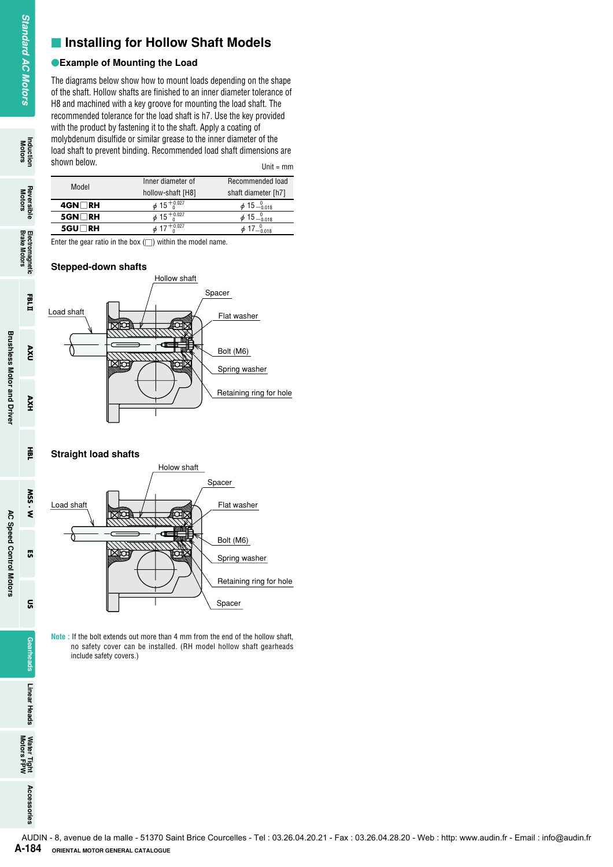# $\blacksquare$  **Installing for Hollow Shaft Models**

# **Example of Mounting the Load**

The diagrams below show how to mount loads depending on the shape of the shaft. Hollow shafts are finished to an inner diameter tolerance of H8 and machined with a key groove for mounting the load shaft. The recommended tolerance for the load shaft is h7. Use the key provided with the product by fastening it to the shaft. Apply a coating of molybdenum disulfide or similar grease to the inner diameter of the load shaft to prevent binding. Recommended load shaft dimensions are shown below.  $Unit = mm$ 

| Model            | Inner diameter of           | Recommended load          |
|------------------|-----------------------------|---------------------------|
|                  | hollow-shaft [H8]           | shaft diameter [h7]       |
| 4GN∏RH           | $\phi$ 15 $^{+0.027}$       | $\phi$ 15 $^{0}_{-0.018}$ |
| $5$ GN $\Box$ RH | $\phi$ 15 <sup>+0.027</sup> | $\phi$ 15 $^{0}_{0.018}$  |
| <b>5GU</b> RH    | $+0.027$                    |                           |
|                  |                             |                           |

Enter the gear ratio in the box  $(\square)$  within the model name.

# **Stepped-down shafts**



# **Straight load shafts**



**Note :** If the bolt extends out more than 4 mm from the end of the hollow shaft, no safety cover can be installed. (RH model hollow shaft gearheads include safety covers.)



**FBLI** 

**UXA** 

HXV

픑

M.SS.W

**G** 

ទ្ធ

Gearheads

Induction<br>Motors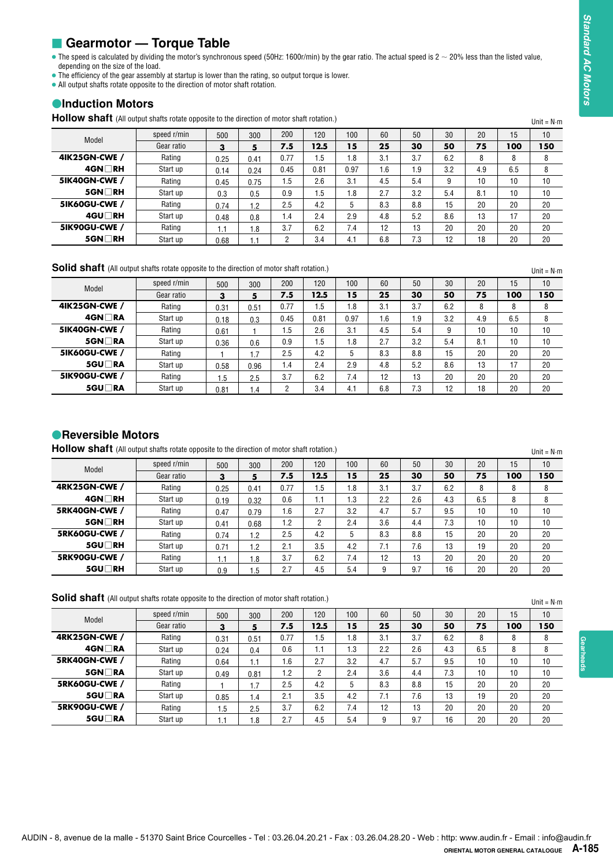# ■ Gearmotor — Torque Table

# $\bullet$ **Induction Motors**

| <b>HOIIOW Shaft</b> (All output shafts rotate opposite to the direction of motor shaft rotation.) |             |      |      |                |      |      |     |     |     |     |     | Unit = $N \cdot m$ |
|---------------------------------------------------------------------------------------------------|-------------|------|------|----------------|------|------|-----|-----|-----|-----|-----|--------------------|
| Model                                                                                             | speed r/min | 500  | 300  | 200            | 120  | 100  | 60  | 50  | 30  | 20  | 15  | 10                 |
|                                                                                                   | Gear ratio  | з    | 5    | 7.5            | 12.5 | 15   | 25  | 30  | 50  | 75  | 100 | 150                |
| 41K25GN-CWE /                                                                                     | Rating      | 0.25 | 0.41 | 0.77           | 1.5  | .8   | 3.1 | 3.7 | 6.2 | 8   | 8   | 8                  |
| $4$ GN $\Box$ RH                                                                                  | Start up    | 0.14 | 0.24 | 0.45           | 0.81 | 0.97 | 1.6 | 1.9 | 3.2 | 4.9 | 6.5 | 8                  |
| 5IK40GN-CWE /                                                                                     | Rating      | 0.45 | 0.75 | 1.5            | 2.6  | 3.1  | 4.5 | 5.4 | 9   | 10  | 10  | 10                 |
| $5$ GN $\Box$ RH                                                                                  | Start up    | 0.3  | 0.5  | 0.9            | 1.5  | . 8  | 2.7 | 3.2 | 5.4 | 8.1 | 10  | 10                 |
| 5IK60GU-CWE /                                                                                     | Rating      | 0.74 | 1.2  | 2.5            | 4.2  | 5    | 8.3 | 8.8 | 15  | 20  | 20  | 20                 |
| $4$ GU $\Box$ RH                                                                                  | Start up    | 0.48 | 0.8  | 1.4            | 2.4  | 2.9  | 4.8 | 5.2 | 8.6 | 13  | 17  | 20                 |
| 5IK90GU-CWE /                                                                                     | Rating      | 1.1  | 1.8  | 3.7            | 6.2  | 7.4  | 12  | 13  | 20  | 20  | 20  | 20                 |
| $5$ GN $\Box$ RH                                                                                  | Start up    | 0.68 | 1.1  | $\overline{2}$ | 3.4  | 4.1  | 6.8 | 7.3 | 12  | 18  | 20  | 20                 |

| Model                | speed r/min | 500  | 300  | 200  | 120  | 100  | 60  | 50  | 30  | 20  | 15  | 10 |
|----------------------|-------------|------|------|------|------|------|-----|-----|-----|-----|-----|----|
|                      | Gear ratio  | 3    | 5    | 7.5  | 12.5 | 15   | 25  | 30  | 50  | 75  | 100 | 50 |
| <b>4IK25GN-CWE /</b> | Rating      | 0.31 | 0.51 | 0.77 | 1.5  | 1.8  | 3.1 | 3.7 | 6.2 | 8   | 8   | 8  |
| $4$ GN $\Box$ RA     | Start up    | 0.18 | 0.3  | 0.45 | 0.81 | 0.97 | 1.6 | 1.9 | 3.2 | 4.9 | 6.5 | 8  |
| <b>5IK40GN-CWE /</b> | Rating      | 0.61 |      | 1.5  | 2.6  | 3.1  | 4.5 | 5.4 | 9   | 10  | 10  | 10 |
| $5$ GN $\Box$ RA     | Start up    | 0.36 | 0.6  | 0.9  | 1.5  | 1.8  | 2.7 | 3.2 | 5.4 | 8.1 | 10  | 10 |
| 5IK60GU-CWE /        | Rating      |      | 1.7  | 2.5  | 4.2  |      | 8.3 | 8.8 | 15  | 20  | 20  | 20 |
| 5GU∏RA               | Start up    | 0.58 | 0.96 | 1.4  | 2.4  | 2.9  | 4.8 | 5.2 | 8.6 | 13  | 17  | 20 |
| 5IK90GU-CWE /        | Rating      | .5   | 2.5  | 3.7  | 6.2  | 7.4  | 12  | 13  | 20  | 20  | 20  | 20 |
| 5GU∏RA               | Start up    | 0.81 | 1.4  | 2    | 3.4  | 4.1  | 6.8 | 7.3 | 12  | 18  | 20  | 20 |

# **Reversible Motors**

| Model                | speed r/min | 500  | 300  | 200  | 120  | 100 | 60  | 50  | 30  | 20  | 15  | 10 |
|----------------------|-------------|------|------|------|------|-----|-----|-----|-----|-----|-----|----|
|                      | Gear ratio  | з    | 5    | 7.5  | 12.5 | 15  | 25  | 30  | 50  | 75  | 100 | 50 |
| <b>4RK25GN-CWE /</b> | Rating      | 0.25 | 0.41 | 0.77 | 1.5  | .8  | 3.1 | 3.7 | 6.2 | 8   | 8   | 8  |
| $4$ GN $\Box$ RH     | Start up    | 0.19 | 0.32 | 0.6  | 1.1  | .3  | 2.2 | 2.6 | 4.3 | 6.5 | 8   | 8  |
| 5RK40GN-CWE /        | Rating      | 0.47 | 0.79 | 1.6  | 2.7  | 3.2 | 4.7 | 5.7 | 9.5 | 10  | 10  | 10 |
| $5$ GN $\Box$ RH     | Start up    | 0.41 | 0.68 | 1.2  | ŋ    | 2.4 | 3.6 | 4.4 | 7.3 | 10  | 10  | 10 |
| <b>5RK60GU-CWE /</b> | Rating      | 0.74 | 1.2  | 2.5  | 4.2  | b   | 8.3 | 8.8 | 15  | 20  | 20  | 20 |
| 5GU□RH               | Start up    | 0.71 | 1.2  | 2.1  | 3.5  | 4.2 | 7.1 | 7.6 | 13  | 19  | 20  | 20 |
| <b>5RK90GU-CWE /</b> | Rating      | l.1  | 1.8  | 3.7  | 6.2  | 7.4 | 12  | 13  | 20  | 20  | 20  | 20 |
| 5GU□RH               | Start up    | 0.9  | 1.5  | 2.7  | 4.5  | 5.4 | 9   | 9.7 | 16  | 20  | 20  | 20 |

| Model<br><b>4IK25GN-CWE /</b><br>4GN⊡RH<br><b>5IK40GN-CWE /</b><br>$5$ GN $\Box$ RH                                                                                                                                             | speed r/min<br>Gear ratio | 500                  |              |                |             |            |            |            |           |           |           | Unit = $N \cdot m$       |
|---------------------------------------------------------------------------------------------------------------------------------------------------------------------------------------------------------------------------------|---------------------------|----------------------|--------------|----------------|-------------|------------|------------|------------|-----------|-----------|-----------|--------------------------|
|                                                                                                                                                                                                                                 |                           |                      | 300          | 200            | 120         | 100        | 60         | 50         | 30        | 20        | 15        | 10                       |
|                                                                                                                                                                                                                                 |                           | 3                    | 5            | 7.5<br>0.77    | 12.5<br>1.5 | 15<br>1.8  | 25<br>3.1  | 30<br>3.7  | 50<br>6.2 | 75<br>8   | 100<br>8  | 150<br>8                 |
|                                                                                                                                                                                                                                 | Rating<br>Start up        | 0.25<br>0.14         | 0.41<br>0.24 | 0.45           | 0.81        | 0.97       | 1.6        | 1.9        | 3.2       | 4.9       | 6.5       | 8                        |
|                                                                                                                                                                                                                                 | Rating                    | 0.45                 | 0.75         | 1.5            | 2.6         | 3.1        | 4.5        | 5.4        | 9         | 10        | 10        | 10                       |
|                                                                                                                                                                                                                                 | Start up                  | 0.3                  | 0.5          | 0.9            | 1.5         | 1.8        | 2.7        | 3.2        | 5.4       | 8.1       | 10        | 10                       |
| <b>5IK60GU-CWE /</b>                                                                                                                                                                                                            | Rating                    | 0.74                 | 1.2          | 2.5            | 4.2         | 5          | 8.3        | 8.8        | 15        | 20        | 20        | 20                       |
| 4GU□RH                                                                                                                                                                                                                          | Start up                  | 0.48                 | 0.8          | 1.4            | 2.4         | 2.9        | 4.8        | 5.2        | 8.6       | 13        | 17        | 20                       |
| <b>5IK90GU-CWE /</b>                                                                                                                                                                                                            | Rating                    | 1.1                  | 1.8          | 3.7            | 6.2         | 7.4        | 12         | 13         | 20        | 20        | 20        | 20                       |
| $5$ GN $\Box$ RH                                                                                                                                                                                                                | Start up                  | 0.68                 | 1.1          | $\overline{2}$ | 3.4         | 4.1        | 6.8        | 7.3        | 12        | 18        | 20        | 20                       |
| Solid shaft (All output shafts rotate opposite to the direction of motor shaft rotation.)                                                                                                                                       |                           |                      |              |                |             |            |            |            |           |           |           | Unit = $N \cdot m$       |
|                                                                                                                                                                                                                                 | speed r/min               | 500                  | 300          | 200            | 120         | 100        | 60         | 50         | 30        | 20        | 15        | 10                       |
| Model                                                                                                                                                                                                                           | Gear ratio                | 3                    | 5            | 7.5            | 12.5        | 15         | 25         | 30         | 50        | 75        | 100       | 150                      |
| 41K25GN-CWE /                                                                                                                                                                                                                   | Rating                    | 0.31                 | 0.51         | 0.77           | 1.5         | 1.8        | 3.1        | 3.7        | 6.2       | 8         | 8         | 8                        |
| 4GN <b>NRA</b>                                                                                                                                                                                                                  | Start up                  | 0.18                 | 0.3          | 0.45           | 0.81        | 0.97       | 1.6        | 1.9        | 3.2       | 4.9       | 6.5       | 8                        |
| <b>5IK40GN-CWE /</b>                                                                                                                                                                                                            | Rating                    | 0.61                 | $\mathbf{1}$ | 1.5            | 2.6         | 3.1        | 4.5        | 5.4        | 9         | 10        | 10        | 10                       |
| $5$ GN $\Box$ RA<br><b>5IK60GU-CWE /</b>                                                                                                                                                                                        | Start up<br>Rating        | 0.36                 | 0.6          | 0.9<br>2.5     | 1.5<br>4.2  | 1.8<br>5   | 2.7<br>8.3 | 3.2<br>8.8 | 5.4<br>15 | 8.1<br>20 | 10<br>20  | 10<br>20                 |
| 5GU□RA                                                                                                                                                                                                                          | Start up                  | $\mathbf{1}$<br>0.58 | 1.7<br>0.96  | 1.4            | 2.4         | 2.9        | 4.8        | 5.2        | 8.6       | 13        | 17        | 20                       |
| 5IK90GU-CWE /                                                                                                                                                                                                                   | Rating                    | 1.5                  | 2.5          | 3.7            | 6.2         | 7.4        | 12         | 13         | 20        | 20        | 20        | 20                       |
| 5GU□RA                                                                                                                                                                                                                          | Start up                  | 0.81                 | 1.4          | $\overline{2}$ | 3.4         | 4.1        | 6.8        | 7.3        | 12        | 18        | 20        | 20                       |
|                                                                                                                                                                                                                                 | speed r/min               | 500                  | 300          | 200            | 120         | 100        | 60         | 50         | 30        | 20        | 15        | Unit = $N \cdot m$<br>10 |
| Model                                                                                                                                                                                                                           | Gear ratio                | 3                    | 5            | 7.5            | 12.5        | 15         | 25         | 30         | 50        | 75        | 100       | <b>150</b>               |
|                                                                                                                                                                                                                                 | Rating                    | 0.25                 | 0.41         | 0.77           | 1.5         | 1.8        | 3.1        | 3.7        | 6.2       | 8         | 8         | 8                        |
| 4GN□RH                                                                                                                                                                                                                          | Start up                  | 0.19                 | 0.32         | 0.6            | 1.1         | 1.3        | 2.2        | 2.6        | 4.3       | 6.5       | 8         | 8                        |
|                                                                                                                                                                                                                                 | Rating                    | 0.47                 | 0.79         | 1.6            | 2.7         | 3.2        | 4.7        | 5.7        | 9.5       | 10        | 10        | 10                       |
| 5GN□RH                                                                                                                                                                                                                          | Start up                  | 0.41                 | 0.68         | 1.2            | 2           | 2.4        | 3.6        | 4.4        | 7.3       | 10        | 10        | 10                       |
| 5GU□RH                                                                                                                                                                                                                          | Rating<br>Start up        | 0.74                 | 1.2          | 2.5<br>2.1     | 4.2<br>3.5  | 5<br>4.2   | 8.3<br>7.1 | 8.8<br>7.6 | 15<br>13  | 20<br>19  | 20<br>20  | 20<br>20                 |
|                                                                                                                                                                                                                                 | Rating                    | 0.71<br>1.1          | 1.2<br>1.8   | 3.7            | 6.2         | 7.4        | 12         | 13         | 20        | 20        | 20        | 20                       |
| 5GU□RH                                                                                                                                                                                                                          | Start up                  | 0.9                  | 1.5          | 2.7            | 4.5         | 5.4        | 9          | 9.7        | 16        | 20        | 20        | 20                       |
| <b>• Reversible Motors</b><br><b>Hollow shaft</b> (All output shafts rotate opposite to the direction of motor shaft rotation.)<br><b>4RK25GN-CWE /</b><br><b>5RK40GN-CWE /</b><br><b>5RK60GU-CWE /</b><br><b>5RK90GU-CWE /</b> |                           |                      |              |                |             |            |            |            |           |           |           |                          |
|                                                                                                                                                                                                                                 |                           |                      |              |                |             |            |            |            |           |           |           | $Unit = N \cdot m$       |
| Model                                                                                                                                                                                                                           | speed r/min<br>Gear ratio | 500<br>3             | 300<br>5     | 200<br>7.5     | 120<br>12.5 | 100<br>15  | 60<br>25   | 50<br>30   | 30<br>50  | 20<br>75  | 15<br>100 | 10<br>150                |
|                                                                                                                                                                                                                                 | Rating                    | 0.31                 | 0.51         | 0.77           | 1.5         | 1.8        | 3.1        | 3.7        | 6.2       | 8         | 8         | 8                        |
| 4GN□RA                                                                                                                                                                                                                          | Start up                  | 0.24                 | 0.4          | 0.6            | 1.1         | 1.3        | 2.2        | 2.6        | 4.3       | 6.5       | 8         | 8                        |
|                                                                                                                                                                                                                                 | Rating                    | 0.64                 | 1.1          | 1.6            | 2.7         | 3.2        | 4.7        | 5.7        | 9.5       | 10        | 10        | 10                       |
| Solid shaft (All output shafts rotate opposite to the direction of motor shaft rotation.)<br><b>4RK25GN-CWE /</b><br>5RK40GN-CWE /<br>5GN□RA                                                                                    | Start up                  | 0.49                 | 0.81         | 1.2            | 2           | 2.4        | 3.6        | 4.4        | 7.3       | 10        | 10        | 10                       |
|                                                                                                                                                                                                                                 | Rating                    | $\mathbf{1}$         | 1.7          | 2.5            | 4.2         | 5          | 8.3        | 8.8        | 15        | 20        | 20        | 20                       |
| 5RK60GU-CWE /<br>5GU□RA<br><b>5RK90GU-CWE /</b>                                                                                                                                                                                 | Start up<br>Rating        | 0.85<br>1.5          | 1.4<br>2.5   | 2.1<br>3.7     | 3.5<br>6.2  | 4.2<br>7.4 | 7.1<br>12  | 7.6<br>13  | 13<br>20  | 19<br>20  | 20<br>20  | 20<br>20                 |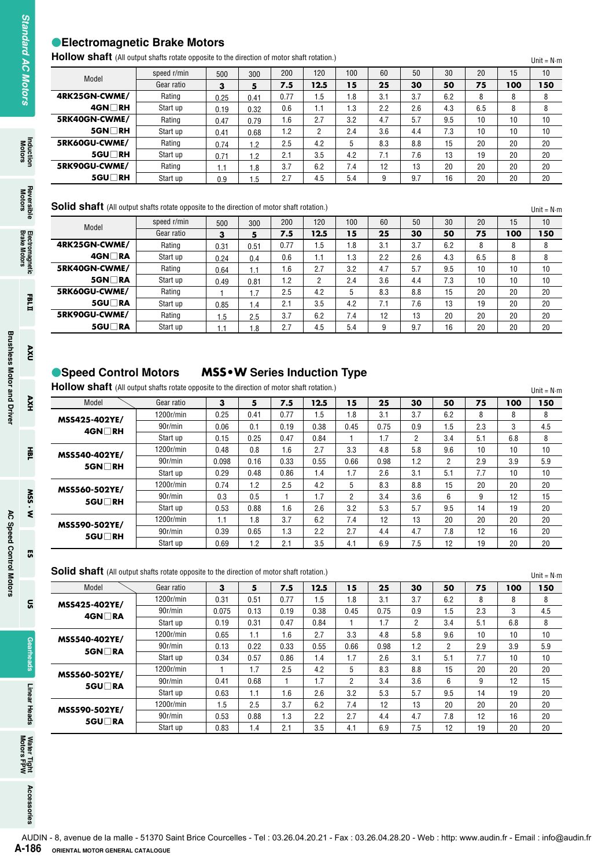# **Electromagnetic Brake Motors**

| <b>HOIIOW SHATT</b> (All output shafts rotate opposite to the direction of motor shaft rotation.) |             |      |      |      |      |     |     |     |     |     |     | Unit = $N \cdot m$ |
|---------------------------------------------------------------------------------------------------|-------------|------|------|------|------|-----|-----|-----|-----|-----|-----|--------------------|
| Model                                                                                             | speed r/min | 500  | 300  | 200  | 120  | 100 | 60  | 50  | 30  | 20  | 15  | 10                 |
|                                                                                                   | Gear ratio  | 3    | 5    | 7.5  | 12.5 | 15  | 25  | 30  | 50  | 75  | 100 | 150                |
| 4RK25GN-CWME/                                                                                     | Rating      | 0.25 | 0.41 | 0.77 | ۱.5  | 1.8 | 3.1 | 3.7 | 6.2 | 8   | 8   | 8                  |
| $4$ GN $\Box$ RH                                                                                  | Start up    | 0.19 | 0.32 | 0.6  | 1.1  | I.3 | 2.2 | 2.6 | 4.3 | 6.5 | 8   | 8                  |
| 5RK40GN-CWME/                                                                                     | Rating      | 0.47 | 0.79 | 1.6  | 2.7  | 3.2 | 4.7 | 5.7 | 9.5 | 10  | 10  | 10                 |
| $5$ GN $\Box$ RH                                                                                  | Start up    | 0.41 | 0.68 | 1.2  | 2    | 2.4 | 3.6 | 4.4 | 7.3 | 10  | 10  | 10                 |
| 5RK60GU-CWME/                                                                                     | Rating      | 0.74 | 1.2  | 2.5  | 4.2  | 5   | 8.3 | 8.8 | 15  | 20  | 20  | 20                 |
| $5$ GU $\Box$ RH                                                                                  | Start up    | 0.71 | 1.2  | 2.1  | 3.5  | 4.2 | 7.1 | 7.6 | 13  | 19  | 20  | 20                 |
| 5RK90GU-CWME/                                                                                     | Rating      | 1.1  | 1.8  | 3.7  | 6.2  | 7.4 | 12  | 13  | 20  | 20  | 20  | 20                 |
| 5GU□RH                                                                                            | Start up    | 0.9  | 1.5  | 2.7  | 4.5  | 5.4 | 9   | 9.7 | 16  | 20  | 20  | 20                 |

| Solid shaft (All output shafts rotate opposite to the direction of motor shaft rotation.) |             |      |         |      |      |     |     |     |     |     |     | Unit = $N \cdot m$ |
|-------------------------------------------------------------------------------------------|-------------|------|---------|------|------|-----|-----|-----|-----|-----|-----|--------------------|
| Model                                                                                     | speed r/min | 500  | 300     | 200  | 120  | 100 | 60  | 50  | 30  | 20  | 15  | 10                 |
|                                                                                           | Gear ratio  | 3    | 5       | 7.5  | 12.5 | 15  | 25  | 30  | 50  | 75  | 100 | 150                |
| 4RK25GN-CWME/                                                                             | Rating      | 0.31 | 0.51    | 0.77 | 1.5  | 1.8 | 3.1 | 3.7 | 6.2 | 8   | 8   | 8                  |
| 4GN∏RA                                                                                    | Start up    | 0.24 | 0.4     | 0.6  | 1.1  | l.3 | 2.2 | 2.6 | 4.3 | 6.5 | 8   | 8                  |
| 5RK40GN-CWME/                                                                             | Rating      | 0.64 | 1.1     | 1.6  | 2.7  | 3.2 | 4.7 | 5.7 | 9.5 | 10  | 10  | 10                 |
| $5$ GN $\Box$ RA                                                                          | Start up    | 0.49 | 0.81    | 1.2  | 2    | 2.4 | 3.6 | 4.4 | 7.3 | 10  | 10  | 10                 |
| 5RK60GU-CWME/                                                                             | Rating      |      | .7      | 2.5  | 4.2  | 5   | 8.3 | 8.8 | 15  | 20  | 20  | 20                 |
| 5GU∏RA                                                                                    | Start up    | 0.85 | $\cdot$ | 2.1  | 3.5  | 4.2 | 7.1 | 7.6 | 13  | 19  | 20  | 20                 |
| 5RK90GU-CWME/                                                                             | Rating      | 1.5  | 2.5     | 3.7  | 6.2  | 7.4 | 12  | 13  | 20  | 20  | 20  | 20                 |
| 5GU∏RA                                                                                    | Start up    | 1.1  | .8      | 2.7  | 4.5  | 5.4 | 9   | 9.7 | 16  | 20  | 20  | 20                 |

# **Speed Control Motors MSS•W Series Induction Type**

| Model<br>4RK25GN-CWME/<br>$4GM$ RH<br>5RK40GN-CWME/<br>5GN□RH<br>5RK60GU-CWME/<br>5GU□RH<br>5RK90GU-CWME/<br>5GU□RH<br><b>Solid shaft</b> (All output shafts rotate opposite to the direction of motor shaft rotation.)<br>Model<br>4RK25GN-CWME/ | speed r/min<br>Gear ratio<br>Rating<br>Start up<br>Rating<br>Start up<br>Rating<br>Start up<br>Rating<br>Start up<br>speed r/min<br>Gear ratio | 500<br>3<br>0.25<br>0.19<br>0.47<br>0.41<br>0.74<br>0.71<br>1.1<br>0.9 | 300<br>5<br>0.41<br>0.32<br>0.79<br>0.68<br>1.2<br>1.2<br>1.8<br>1.5 | 200<br>7.5<br>0.77<br>0.6<br>1.6<br>1.2<br>2.5<br>2.1<br>3.7<br>2.7 | 120<br>12.5<br>1.5<br>1.1<br>2.7<br>$\overline{2}$<br>4.2<br>3.5<br>6.2<br>4.5 | 100<br>15<br>1.8<br>1.3<br>3.2<br>2.4<br>5<br>4.2<br>7.4<br>5.4 | 60<br>25<br>3.1<br>2.2<br>4.7<br>3.6<br>8.3<br>7.1<br>12<br>9 | 50<br>30<br>3.7<br>2.6<br>5.7<br>4.4<br>8.8<br>7.6<br>13 | 30<br>50<br>6.2<br>4.3<br>9.5<br>7.3 | 20<br>75<br>8<br>6.5 | 15<br>100<br>8 | 150                       |
|---------------------------------------------------------------------------------------------------------------------------------------------------------------------------------------------------------------------------------------------------|------------------------------------------------------------------------------------------------------------------------------------------------|------------------------------------------------------------------------|----------------------------------------------------------------------|---------------------------------------------------------------------|--------------------------------------------------------------------------------|-----------------------------------------------------------------|---------------------------------------------------------------|----------------------------------------------------------|--------------------------------------|----------------------|----------------|---------------------------|
|                                                                                                                                                                                                                                                   |                                                                                                                                                |                                                                        |                                                                      |                                                                     |                                                                                |                                                                 |                                                               |                                                          |                                      |                      |                |                           |
|                                                                                                                                                                                                                                                   |                                                                                                                                                |                                                                        |                                                                      |                                                                     |                                                                                |                                                                 |                                                               |                                                          |                                      |                      |                |                           |
|                                                                                                                                                                                                                                                   |                                                                                                                                                |                                                                        |                                                                      |                                                                     |                                                                                |                                                                 |                                                               |                                                          |                                      |                      | 8              |                           |
|                                                                                                                                                                                                                                                   |                                                                                                                                                |                                                                        |                                                                      |                                                                     |                                                                                |                                                                 |                                                               |                                                          |                                      | 10                   | 10             |                           |
|                                                                                                                                                                                                                                                   |                                                                                                                                                |                                                                        |                                                                      |                                                                     |                                                                                |                                                                 |                                                               |                                                          |                                      | 10                   | 10             |                           |
|                                                                                                                                                                                                                                                   |                                                                                                                                                |                                                                        |                                                                      |                                                                     |                                                                                |                                                                 |                                                               |                                                          | 15                                   | 20                   | 20             |                           |
|                                                                                                                                                                                                                                                   |                                                                                                                                                |                                                                        |                                                                      |                                                                     |                                                                                |                                                                 |                                                               |                                                          | 13                                   | 19                   | 20             |                           |
|                                                                                                                                                                                                                                                   |                                                                                                                                                |                                                                        |                                                                      |                                                                     |                                                                                |                                                                 |                                                               |                                                          | 20                                   | 20                   | 20             |                           |
|                                                                                                                                                                                                                                                   |                                                                                                                                                |                                                                        |                                                                      |                                                                     |                                                                                |                                                                 |                                                               | 9.7                                                      | 16                                   | 20                   | 20             | Unit = $N \cdot m$        |
|                                                                                                                                                                                                                                                   |                                                                                                                                                | 500                                                                    | 300                                                                  | 200                                                                 | 120                                                                            | 100                                                             | 60                                                            | 50                                                       | 30                                   | 20                   | 15             |                           |
|                                                                                                                                                                                                                                                   |                                                                                                                                                | 3                                                                      | 5                                                                    | 7.5                                                                 | 12.5                                                                           | 15                                                              | 25                                                            | 30                                                       | 50                                   | 75                   | 100            | 150                       |
|                                                                                                                                                                                                                                                   | Rating                                                                                                                                         | 0.31                                                                   | 0.51                                                                 | 0.77                                                                | 1.5                                                                            | 1.8                                                             | 3.1                                                           | 3.7                                                      | 6.2                                  | 8                    | 8              |                           |
| 4GN ∏RA                                                                                                                                                                                                                                           | Start up                                                                                                                                       | 0.24                                                                   | 0.4                                                                  | 0.6                                                                 | 1.1                                                                            | 1.3                                                             | 2.2                                                           | 2.6                                                      | 4.3                                  | 6.5                  | 8              |                           |
| 5RK40GN-CWME/                                                                                                                                                                                                                                     | Rating                                                                                                                                         | 0.64                                                                   | 1.1                                                                  | 1.6                                                                 | 2.7                                                                            | 3.2                                                             | 4.7                                                           | 5.7                                                      | 9.5                                  | 10                   | 10             |                           |
| 5GN□RA                                                                                                                                                                                                                                            | Start up                                                                                                                                       | 0.49                                                                   | 0.81                                                                 | 1.2                                                                 | $\overline{2}$                                                                 | 2.4                                                             | 3.6                                                           | 4.4                                                      | 7.3                                  | 10                   | 10             |                           |
| 5RK60GU-CWME/                                                                                                                                                                                                                                     | Rating                                                                                                                                         | $\mathbf{1}$                                                           | 1.7                                                                  | 2.5                                                                 | 4.2                                                                            | 5                                                               | 8.3                                                           | 8.8                                                      | 15                                   | 20                   | 20             |                           |
| 5GU□RA                                                                                                                                                                                                                                            | Start up                                                                                                                                       | 0.85                                                                   | 1.4                                                                  | 2.1                                                                 | 3.5                                                                            | 4.2                                                             | 7.1                                                           | 7.6                                                      | 13                                   | 19                   | 20             |                           |
| 5RK90GU-CWME/<br>5GU□RA                                                                                                                                                                                                                           | Rating<br>Start up                                                                                                                             | 1.5                                                                    | 2.5<br>1.8                                                           | 3.7<br>2.7                                                          | 6.2<br>4.5                                                                     | 7.4<br>5.4                                                      | 12<br>9                                                       | 13<br>9.7                                                | 20<br>16                             | 20<br>20             | 20<br>20       |                           |
|                                                                                                                                                                                                                                                   |                                                                                                                                                |                                                                        |                                                                      |                                                                     |                                                                                |                                                                 |                                                               |                                                          |                                      |                      |                |                           |
| ● Speed Control Motors<br>Hollow shaft (All output shafts rotate opposite to the direction of motor shaft rotation.)                                                                                                                              |                                                                                                                                                | <b>MSS . W</b> Series Induction Type                                   |                                                                      |                                                                     |                                                                                |                                                                 |                                                               |                                                          |                                      |                      |                | Unit = $N \cdot m$        |
| Model                                                                                                                                                                                                                                             | Gear ratio                                                                                                                                     |                                                                        |                                                                      |                                                                     |                                                                                |                                                                 |                                                               |                                                          | 50                                   | 75                   | 100            | 150                       |
|                                                                                                                                                                                                                                                   |                                                                                                                                                | 3                                                                      | 5                                                                    | 7.5                                                                 | 12.5                                                                           | 15                                                              | 25                                                            | 30                                                       |                                      |                      |                |                           |
|                                                                                                                                                                                                                                                   | 1200r/min                                                                                                                                      | 0.25                                                                   | 0.41                                                                 | 0.77                                                                | 1.5                                                                            | 1.8                                                             | 3.1                                                           | 3.7                                                      | 6.2                                  | 8                    | 8              |                           |
| MSS425-402YE/                                                                                                                                                                                                                                     | 90r/min                                                                                                                                        | 0.06                                                                   | 0.1                                                                  | 0.19                                                                | 0.38                                                                           | 0.45                                                            | 0.75                                                          | 0.9                                                      | 1.5                                  | 2.3                  | 3              |                           |
| 4GN□RH                                                                                                                                                                                                                                            | Start up                                                                                                                                       | 0.15                                                                   | 0.25                                                                 | 0.47                                                                | 0.84                                                                           | $\mathbf{1}$                                                    | 1.7                                                           | $\overline{2}$                                           | 3.4                                  | 5.1                  | 6.8            |                           |
| MSS540-402YE/                                                                                                                                                                                                                                     | 1200r/min                                                                                                                                      | 0.48                                                                   | 0.8                                                                  | 1.6                                                                 | 2.7                                                                            | 3.3                                                             | 4.8                                                           | 5.8                                                      | 9.6                                  | 10                   | 10             |                           |
| 5GN∏RH                                                                                                                                                                                                                                            | 90r/min                                                                                                                                        | 0.098                                                                  | 0.16                                                                 | 0.33                                                                | 0.55                                                                           | 0.66                                                            | 0.98                                                          | 1.2                                                      | $\overline{2}$                       | 2.9                  | 3.9            |                           |
|                                                                                                                                                                                                                                                   | Start up                                                                                                                                       | 0.29                                                                   | 0.48                                                                 | 0.86                                                                | 1.4                                                                            | 1.7                                                             | 2.6                                                           | 3.1                                                      | 5.1                                  | 7.7                  | 10             |                           |
| MSS560-502YE/                                                                                                                                                                                                                                     | 1200r/min                                                                                                                                      | 0.74                                                                   | 1.2                                                                  | 2.5                                                                 | 4.2                                                                            | 5                                                               | 8.3                                                           | 8.8                                                      | 15                                   | 20                   | 20             |                           |
| 5GU□RH                                                                                                                                                                                                                                            | 90r/min                                                                                                                                        | 0.3                                                                    | 0.5                                                                  | 1                                                                   | 1.7                                                                            | $\overline{c}$                                                  | 3.4                                                           | 3.6                                                      | 6                                    | 9                    | 12             |                           |
|                                                                                                                                                                                                                                                   | Start up                                                                                                                                       | 0.53                                                                   | 0.88                                                                 | 1.6                                                                 | 2.6                                                                            | 3.2                                                             | 5.3                                                           | 5.7                                                      | 9.5                                  | 14                   | 19             |                           |
| MSS590-502YE/                                                                                                                                                                                                                                     | 1200r/min                                                                                                                                      | 1.1                                                                    | 1.8                                                                  | 3.7                                                                 | 6.2                                                                            | 7.4                                                             | 12                                                            | 13                                                       | 20                                   | 20                   | 20             |                           |
| 5GU□RH                                                                                                                                                                                                                                            | 90r/min<br>Start up                                                                                                                            | 0.39<br>0.69                                                           | 0.65<br>1.2                                                          | 1.3<br>2.1                                                          | 2.2<br>3.5                                                                     | 2.7<br>4.1                                                      | 4.4<br>6.9                                                    | 4.7<br>7.5                                               | 7.8<br>12                            | 12<br>19             | 16<br>20       |                           |
| <b>Solid shaft</b> (All output shafts rotate opposite to the direction of motor shaft rotation.)<br>Model                                                                                                                                         | Gear ratio                                                                                                                                     | 3                                                                      | 5                                                                    | 7.5                                                                 | 12.5                                                                           | 15                                                              | 25                                                            | 30                                                       | 50                                   | 75                   | 100            |                           |
| MSS425-402YE/                                                                                                                                                                                                                                     | 1200r/min                                                                                                                                      | 0.31                                                                   | 0.51                                                                 | 0.77                                                                | 1.5                                                                            | 1.8                                                             | 3.1                                                           | 3.7                                                      | 6.2                                  | 8                    | 8              |                           |
| 4GN□RA                                                                                                                                                                                                                                            | 90r/min                                                                                                                                        | 0.075                                                                  | 0.13                                                                 | 0.19                                                                | 0.38                                                                           | 0.45                                                            | 0.75                                                          | 0.9                                                      | 1.5                                  | 2.3                  | 3              |                           |
|                                                                                                                                                                                                                                                   | Start up                                                                                                                                       | 0.19                                                                   | 0.31                                                                 | 0.47                                                                | 0.84                                                                           | 1                                                               | 1.7                                                           | 2                                                        | 3.4                                  | 5.1                  | 6.8            | Unit = $N \cdot m$<br>150 |
| MSS540-402YE/                                                                                                                                                                                                                                     | 1200r/min                                                                                                                                      | 0.65                                                                   | 1.1                                                                  | 1.6                                                                 | 2.7                                                                            | 3.3                                                             | 4.8                                                           | 5.8                                                      | 9.6                                  | 10                   | 10             |                           |
| 5GN□RA                                                                                                                                                                                                                                            | 90r/min                                                                                                                                        | 0.13                                                                   | 0.22                                                                 | 0.33                                                                | 0.55                                                                           | 0.66                                                            | 0.98                                                          | 1.2                                                      | $\overline{2}$                       | 2.9                  | 3.9            |                           |
|                                                                                                                                                                                                                                                   | Start up                                                                                                                                       | 0.34                                                                   | 0.57                                                                 | 0.86                                                                | 1.4                                                                            | 1.7                                                             | 2.6                                                           | 3.1                                                      | 5.1                                  | 7.7                  | 10             |                           |
| MSS560-502YE/                                                                                                                                                                                                                                     | 1200r/min                                                                                                                                      | 1                                                                      | 1.7                                                                  | 2.5                                                                 | 4.2                                                                            | 5                                                               | 8.3                                                           | 8.8                                                      | 15                                   | 20                   | 20             |                           |
| 5GU□RA                                                                                                                                                                                                                                            | 90r/min                                                                                                                                        | 0.41                                                                   | 0.68                                                                 | $\mathbf{1}$                                                        | 1.7                                                                            | $\overline{c}$                                                  | 3.4                                                           | 3.6                                                      | 6                                    | 9                    | 12             |                           |
|                                                                                                                                                                                                                                                   | Start up                                                                                                                                       | 0.63                                                                   | 1.1                                                                  | 1.6                                                                 | 2.6                                                                            | 3.2                                                             | 5.3                                                           | 5.7                                                      | 9.5                                  | 14                   | 19             |                           |
| MSS590-502YE/                                                                                                                                                                                                                                     | 1200r/min<br>90r/min                                                                                                                           | 1.5<br>0.53                                                            | 2.5<br>0.88                                                          | 3.7<br>1.3                                                          | 6.2<br>2.2                                                                     | 7.4<br>2.7                                                      | 12<br>4.4                                                     | 13<br>4.7                                                | 20<br>7.8                            | 20<br>12             | 20<br>16       |                           |

| <b>SOIIG SHATT</b> (All output shafts rotate opposite to the direction of motor shaft rotation.) |            |       |      |      |      |      |      |                |     |     |                  | Unit = $N \cdot m$ |
|--------------------------------------------------------------------------------------------------|------------|-------|------|------|------|------|------|----------------|-----|-----|------------------|--------------------|
| Model                                                                                            | Gear ratio | 3     | 5    | 7.5  | 12.5 | 15   | 25   | 30             | 50  | 75  | 100              | 150                |
| MSS425-402YE/                                                                                    | 1200r/min  | 0.31  | 0.51 | 0.77 | 1.5  | 1.8  | 3.1  | 3.7            | 6.2 | 8   | 8                | 8                  |
| $4$ GN $\Box$ RA                                                                                 | 90r/min    | 0.075 | 0.13 | 0.19 | 0.38 | 0.45 | 0.75 | 0.9            | 1.5 | 2.3 | 3                | 4.5                |
|                                                                                                  | Start up   | 0.19  | 0.31 | 0.47 | 0.84 |      | 1.7  | $\overline{2}$ | 3.4 | 5.1 | 6.8              | 8                  |
| MSS540-402YE/                                                                                    | 1200r/min  | 0.65  | 1.1  | 1.6  | 2.7  | 3.3  | 4.8  | 5.8            | 9.6 | 10  | 10 <sup>1</sup>  | 10                 |
| $5$ GN $\Box$ RA                                                                                 | 90r/min    | 0.13  | 0.22 | 0.33 | 0.55 | 0.66 | 0.98 | 1.2            | 2   | 2.9 | 3.9              | 5.9                |
|                                                                                                  | Start up   | 0.34  | 0.57 | 0.86 | 1.4  | 1.7  | 2.6  | 3.1            | 5.1 | 7.7 | 10 <sup>10</sup> | 10                 |
| MSS560-502YE/                                                                                    | 1200r/min  |       | 1.7  | 2.5  | 4.2  | 5    | 8.3  | 8.8            | 15  | 20  | 20               | 20                 |
| $5$ GU $\Box$ RA                                                                                 | 90r/min    | 0.41  | 0.68 |      | 1.7  | 2    | 3.4  | 3.6            | 6   | 9   | 12               | 15                 |
|                                                                                                  | Start up   | 0.63  | 1.1  | 1.6  | 2.6  | 3.2  | 5.3  | 5.7            | 9.5 | 14  | 19               | 20                 |
| MSS590-502YE/                                                                                    | 1200r/min  | 1.5   | 2.5  | 3.7  | 6.2  | 7.4  | 12   | 13             | 20  | 20  | 20               | 20                 |
| 5GU∏RA                                                                                           | 90r/min    | 0.53  | 0.88 | 1.3  | 2.2  | 2.7  | 4.4  | 4.7            | 7.8 | 12  | 16               | 20                 |
|                                                                                                  | Start up   | 0.83  | 1.4  | 2.1  | 3.5  | 4.1  | 6.9  | 7.5            | 12  | 19  | 20               | 20                 |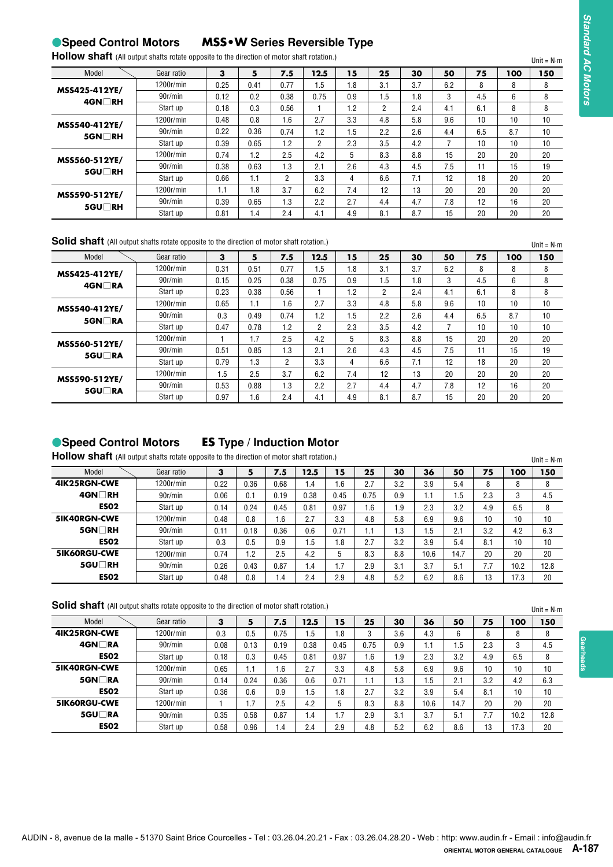# **Speed Control Motors MSS•W Series Reversible Type**

| Hollow shaft (All output shafts rotate opposite to the direction of motor shaft rotation.) |            |      |  |      |  |    |    |
|--------------------------------------------------------------------------------------------|------------|------|--|------|--|----|----|
| Model                                                                                      | Gear ratio |      |  | 12.5 |  | 30 | 50 |
| MCCAOE AIOVE/                                                                              | 1200r/min  | 0.25 |  | .5   |  |    |    |

| Model            | Gear ratio | з    | 5    | 7.5  | 12.5           | 15      | 25  | 30  | 50  | 75  | 100 | 150 |
|------------------|------------|------|------|------|----------------|---------|-----|-----|-----|-----|-----|-----|
| MSS425-412YE/    | 1200r/min  | 0.25 | 0.41 | 0.77 | 1.5            | .8      | 3.1 | 3.7 | 6.2 | 8   | 8   | 8   |
| $4$ GN $\Box$ RH | 90r/min    | 0.12 | 0.2  | 0.38 | 0.75           | 0.9     | 1.5 | 1.8 | 3   | 4.5 | 6   | 8   |
|                  | Start up   | 0.18 | 0.3  | 0.56 |                | $\cdot$ | 2   | 2.4 | 4.1 | 6.1 | 8   | 8   |
| MSS540-412YE/    | 1200r/min  | 0.48 | 0.8  | 1.6  | 2.7            | 3.3     | 4.8 | 5.8 | 9.6 | 10  | 10  | 10  |
| $5$ GN $\Box$ RH | 90r/min    | 0.22 | 0.36 | 0.74 | 1.2            | .5      | 2.2 | 2.6 | 4.4 | 6.5 | 8.7 | 10  |
|                  | Start up   | 0.39 | 0.65 | 1.2  | $\overline{2}$ | 2.3     | 3.5 | 4.2 |     | 10  | 10  | 10  |
| MSS560-512YE/    | 1200r/min  | 0.74 | 1.2  | 2.5  | 4.2            | 5       | 8.3 | 8.8 | 15  | 20  | 20  | 20  |
| 5GU□RH           | 90r/min    | 0.38 | 0.63 | 1.3  | 2.1            | 2.6     | 4.3 | 4.5 | 7.5 | 11  | 15  | 19  |
|                  | Start up   | 0.66 | 1.1  | 2    | 3.3            | 4       | 6.6 | 7.1 | 12  | 18  | 20  | 20  |
| MSS590-512YE/    | 1200r/min  | 1.1  | 1.8  | 3.7  | 6.2            | 7.4     | 12  | 13  | 20  | 20  | 20  | 20  |
| 5GU∏RH           | 90r/min    | 0.39 | 0.65 | 1.3  | 2.2            | 2.7     | 4.4 | 4.7 | 7.8 | 12  | 16  | 20  |
|                  | Start up   | 0.81 | 1.4  | 2.4  | 4.1            | 4.9     | 8.1 | 8.7 | 15  | 20  | 20  | 20  |

# **Solid shaft** (All output shafts rotate opposite to the direction of motor shaft rotation.)

| MSS425-412YE/<br>4GN□RH<br>MSS540-412YE/                                                                                                                                                                                                                                                    | 1200r/min            | 3                                                | 5            | 7.5                   | 12.5                 | 15         |            | 25                    | 30          | 50             | 75         | 100          | 150                            |
|---------------------------------------------------------------------------------------------------------------------------------------------------------------------------------------------------------------------------------------------------------------------------------------------|----------------------|--------------------------------------------------|--------------|-----------------------|----------------------|------------|------------|-----------------------|-------------|----------------|------------|--------------|--------------------------------|
|                                                                                                                                                                                                                                                                                             |                      | 0.25                                             | 0.41         | 0.77                  | 1.5                  | 1.8        |            | 3.1                   | 3.7         | 6.2            | 8          | 8            | 8                              |
|                                                                                                                                                                                                                                                                                             | 90r/min              | 0.12                                             | 0.2          | 0.38                  | 0.75                 | 0.9        |            | 1.5                   | 1.8         | 3              | 4.5        | 6            | 8                              |
|                                                                                                                                                                                                                                                                                             | Start up             | 0.18                                             | 0.3          | 0.56                  | $\mathbf{1}$         | 1.2        |            | $\overline{2}$        | 2.4         | 4.1            | 6.1        | 8            | 8                              |
|                                                                                                                                                                                                                                                                                             | 1200r/min            | 0.48                                             | 0.8          | 1.6                   | 2.7                  | 3.3        |            | 4.8                   | 5.8         | 9.6            | 10         | 10           | 10                             |
| 5GN□RH                                                                                                                                                                                                                                                                                      | 90r/min              | 0.22                                             | 0.36         | 0.74                  | 1.2                  | 1.5        |            | 2.2                   | 2.6         | 4.4            | 6.5        | 8.7          | 10                             |
|                                                                                                                                                                                                                                                                                             | Start up             | 0.39                                             | 0.65         | 1.2                   | $\overline{2}$       | 2.3        |            | 3.5                   | 4.2         | $\overline{7}$ | 10         | 10           | 10                             |
| MSS560-512YE/                                                                                                                                                                                                                                                                               | 1200r/min            | 0.74                                             | 1.2          | 2.5                   | 4.2                  | 5          |            | 8.3                   | 8.8         | 15             | 20         | 20           | 20                             |
| 5GU∏RH                                                                                                                                                                                                                                                                                      | 90r/min<br>Start up  | 0.38<br>0.66                                     | 0.63<br>1.1  | 1.3<br>$\overline{2}$ | 2.1<br>3.3           | 2.6<br>4   |            | 4.3<br>6.6            | 4.5<br>7.1  | 7.5<br>12      | 11<br>18   | 15<br>20     | 19<br>20                       |
|                                                                                                                                                                                                                                                                                             | 1200r/min            | 1.1                                              | 1.8          | 3.7                   | 6.2                  | 7.4        |            | 12                    | 13          | 20             | 20         | 20           | 20                             |
| MSS590-512YE/                                                                                                                                                                                                                                                                               | 90r/min              | 0.39                                             | 0.65         | 1.3                   | 2.2                  | 2.7        |            | 4.4                   | 4.7         | 7.8            | 12         | 16           | 20                             |
| 5GU□RH                                                                                                                                                                                                                                                                                      | Start up             | 0.81                                             | 1.4          | 2.4                   | 4.1                  | 4.9        |            | 8.1                   | 8.7         | 15             | 20         | 20           | 20                             |
| Solid shaft (All output shafts rotate opposite to the direction of motor shaft rotation.)                                                                                                                                                                                                   |                      |                                                  |              |                       |                      |            |            |                       |             |                |            |              |                                |
|                                                                                                                                                                                                                                                                                             |                      |                                                  |              |                       |                      |            |            |                       |             |                |            |              | Unit = $N \cdot m$             |
| Model                                                                                                                                                                                                                                                                                       | Gear ratio           | 3                                                | 5            | 7.5                   | 12.5                 | 15         |            | 25                    | 30          | 50             | 75         | 100          | 150                            |
| MSS425-412YE/                                                                                                                                                                                                                                                                               | 1200r/min<br>90r/min | 0.31                                             | 0.51         | 0.77                  | 1.5                  | 1.8        |            | 3.1                   | 3.7         | 6.2            | 8          | 8            | 8                              |
| 4GN□RA                                                                                                                                                                                                                                                                                      | Start up             | 0.15<br>0.23                                     | 0.25<br>0.38 | 0.38<br>0.56          | 0.75<br>$\mathbf{1}$ | 0.9<br>1.2 |            | 1.5<br>$\overline{2}$ | 1.8<br>2.4  | 3<br>4.1       | 4.5<br>6.1 | 6<br>8       | 8<br>8                         |
|                                                                                                                                                                                                                                                                                             | 1200r/min            | 0.65                                             | 1.1          | 1.6                   | 2.7                  | 3.3        |            | 4.8                   | 5.8         | 9.6            | 10         | 10           | 10                             |
| MSS540-412YE/                                                                                                                                                                                                                                                                               | 90r/min              | 0.3                                              | 0.49         | 0.74                  | 1.2                  | 1.5        |            | 2.2                   | 2.6         | 4.4            | 6.5        | 8.7          | 10                             |
| 5GN□RA                                                                                                                                                                                                                                                                                      | Start up             | 0.47                                             | 0.78         | 1.2                   | $\overline{2}$       | 2.3        |            | 3.5                   | 4.2         | 7              | 10         | 10           | 10                             |
| MSS560-512YE/                                                                                                                                                                                                                                                                               | 1200r/min            | $\mathbf{1}$                                     | 1.7          | 2.5                   | 4.2                  | 5          |            | 8.3                   | 8.8         | 15             | 20         | 20           | 20                             |
|                                                                                                                                                                                                                                                                                             | 90r/min              | 0.51                                             | 0.85         | 1.3                   | 2.1                  | 2.6        |            | 4.3                   | 4.5         | 7.5            | 11         | 15           | 19                             |
|                                                                                                                                                                                                                                                                                             |                      |                                                  |              |                       |                      | 4          |            | 6.6                   | 7.1         | 12             | 18         | 20           | 20                             |
| 5GU□RA                                                                                                                                                                                                                                                                                      | Start up             | 0.79                                             | 1.3          | $\overline{2}$        | 3.3                  |            |            |                       |             |                |            |              |                                |
|                                                                                                                                                                                                                                                                                             | 1200r/min            | 1.5                                              | 2.5          | 3.7                   | 6.2                  | 7.4        |            | 12                    | 13          | 20             | 20         | 20           | 20                             |
| 5GU□RA                                                                                                                                                                                                                                                                                      | 90r/min<br>Start up  | 0.53<br>0.97<br><b>ES Type / Induction Motor</b> | 0.88<br>1.6  | 1.3<br>2.4            | 2.2<br>4.1           | 2.7<br>4.9 |            | 4.4<br>8.1            | 4.7<br>8.7  | 7.8<br>15      | 12<br>20   | 16<br>20     | 20<br>20<br>Unit = $N \cdot m$ |
| Model                                                                                                                                                                                                                                                                                       | Gear ratio           | 3                                                | 5            | 7.5                   | 12.5                 | 15         | 25         | 30                    | 36          | 50             | 75         | 100          | 150                            |
|                                                                                                                                                                                                                                                                                             | 1200r/min            | 0.22                                             | 0.36         | 0.68                  | 1.4                  | 1.6        | 2.7        | 3.2                   | 3.9         | 5.4            | 8          | 8            | 8                              |
| 4GN□RH                                                                                                                                                                                                                                                                                      | 90r/min              | 0.06                                             | 0.1          | 0.19                  | 0.38                 | 0.45       | 0.75       | 0.9                   | 1.1         | 1.5            | 2.3        | 3            | 4.5                            |
| <b>ES02</b>                                                                                                                                                                                                                                                                                 | Start up             | 0.14                                             | 0.24         | 0.45                  | 0.81                 | 0.97       | 1.6        | 1.9                   | 2.3         | 3.2            | 4.9        | 6.5          | 8                              |
|                                                                                                                                                                                                                                                                                             | 1200r/min            | 0.48                                             | 0.8          | 1.6                   | 2.7                  | 3.3        | 4.8        | 5.8                   | 6.9         | 9.6            | 10         | 10           | 10                             |
| 5GN□RH                                                                                                                                                                                                                                                                                      | 90r/min              | 0.11                                             | 0.18         | 0.36                  | 0.6                  | 0.71       | 1.1        | 1.3                   | 1.5         | 2.1            | 3.2        | 4.2          | 6.3                            |
| <b>ES02</b>                                                                                                                                                                                                                                                                                 | Start up             | 0.3                                              | 0.5          | 0.9                   | 1.5                  | 1.8        | 2.7        | 3.2                   | 3.9         | 5.4            | 8.1        | 10           | 10                             |
|                                                                                                                                                                                                                                                                                             | 1200r/min            | 0.74                                             | 1.2          | 2.5                   | 4.2                  | 5          | 8.3        | 8.8                   | 10.6        | 14.7           | 20         | 20           | 20                             |
| 5GU□RH<br><b>ES02</b>                                                                                                                                                                                                                                                                       | 90r/min<br>Start up  | 0.26<br>0.48                                     | 0.43<br>0.8  | 0.87<br>1.4           | 1.4<br>2.4           | 1.7<br>2.9 | 2.9<br>4.8 | 3.1<br>5.2            | 3.7<br>6.2  | 5.1<br>8.6     | 7.7<br>13  | 10.2<br>17.3 | 12.8<br>20                     |
| MSS590-512YE/<br>● Speed Control Motors<br>Hollow shaft (All output shafts rotate opposite to the direction of motor shaft rotation.)<br>4IK25RGN-CWE<br>5IK40RGN-CWE<br>5IK60RGU-CWE<br>Solid shaft (All output shafts rotate opposite to the direction of motor shaft rotation.)<br>Model | Gear ratio           | 3                                                | 5            | 7.5                   | 12.5                 | 15         | 25         | 30                    | 36          | 50             | 75         | 100          | $Unit = N \cdot m$<br>150      |
| 4IK25RGN-CWE                                                                                                                                                                                                                                                                                | 1200r/min            | 0.3                                              | 0.5          | 0.75                  | 1.5                  | 1.8        | 3          | 3.6                   | 4.3         | 6              | 8          | 8            | 8                              |
| 4GN□RA                                                                                                                                                                                                                                                                                      | 90r/min              | 0.08                                             | 0.13         | 0.19                  | 0.38                 | 0.45       | 0.75       | 0.9                   | 1.1         | 1.5            | 2.3        | 3            | 4.5                            |
| <b>ESO2</b>                                                                                                                                                                                                                                                                                 | Start up             | 0.18                                             | 0.3          | 0.45                  | 0.81                 | 0.97       | 1.6        | 1.9                   | 2.3         | 3.2            | 4.9        | 6.5          | 8                              |
|                                                                                                                                                                                                                                                                                             | 1200r/min            | 0.65                                             | 1.1          | 1.6                   | 2.7                  | 3.3        | 4.8        | 5.8                   | 6.9         | 9.6            | 10         | 10           | 10                             |
| 5IK40RGN-CWE<br>5GN□RA                                                                                                                                                                                                                                                                      | 90r/min              | 0.14                                             | 0.24         | 0.36                  | 0.6                  | 0.71       | 1.1        | 1.3                   | 1.5         | 2.1            | 3.2        | 4.2          | 6.3                            |
| <b>ESO2</b><br>5IK60RGU-CWE                                                                                                                                                                                                                                                                 | Start up             | 0.36                                             | 0.6          | 0.9                   | 1.5                  | 1.8        | 2.7        | 3.2                   | 3.9         | 5.4            | 8.1        | 10           | 10                             |
| 5GU□RA                                                                                                                                                                                                                                                                                      | 1200r/min<br>90r/min | 1<br>0.35                                        | 1.7<br>0.58  | 2.5<br>0.87           | 4.2<br>1.4           | 5<br>1.7   | 8.3<br>2.9 | 8.8<br>3.1            | 10.6<br>3.7 | 14.7<br>5.1    | 20<br>7.7  | 20<br>10.2   | 20<br>12.8                     |

# **Speed Control Motors ES Type / Induction Motor**

| <b>HOIIOW Shaft</b> (All output shafts rotate opposite to the direction of motor shaft rotation.) |            |      |                |      |      |                 |      |     |              |      |     |      | Unit = $N \cdot m$ |
|---------------------------------------------------------------------------------------------------|------------|------|----------------|------|------|-----------------|------|-----|--------------|------|-----|------|--------------------|
| Model                                                                                             | Gear ratio | 3    | 5              | 7.5  | 12.5 | 15              | 25   | 30  | 36           | 50   | 75  | 100  | 150                |
| <b>4IK25RGN-CWE</b>                                                                               | 1200r/min  | 0.22 | 0.36           | 0.68 | 1.4  | .6              | 2.7  | 3.2 | 3.9          | 5.4  | 8   | 8    |                    |
| $4$ GN $\Box$ RH                                                                                  | 90r/min    | 0.06 | 0.1            | 0.19 | 0.38 | 0.45            | 0.75 | 0.9 | $\mathsf{L}$ | 1.5  | 2.3 | 3    | 4.5                |
| <b>ESO2</b>                                                                                       | Start up   | 0.14 | 0.24           | 0.45 | 0.81 | 0.97            | 1.6  | 1.9 | 2.3          | 3.2  | 4.9 | 6.5  | 8                  |
| <b>5IK40RGN-CWE</b>                                                                               | 1200r/min  | 0.48 | 0.8            | 1.6  | 2.7  | 3.3             | 4.8  | 5.8 | 6.9          | 9.6  | 10  | 10   | 10                 |
| $5$ GN $\Box$ RH                                                                                  | 90r/min    | 0.11 | 0.18           | 0.36 | 0.6  | 0.71            | 1.1  | 1.3 | 1.5          | 2.1  | 3.2 | 4.2  | 6.3                |
| <b>ESO2</b>                                                                                       | Start up   | 0.3  | 0.5            | 0.9  | 1.5  | 1.8             | 2.7  | 3.2 | 3.9          | 5.4  | 8.1 | 10   | 10                 |
| <b>5IK60RGU-CWE</b>                                                                               | 1200r/min  | 0.74 | $\overline{2}$ | 2.5  | 4.2  | 5               | 8.3  | 8.8 | 10.6         | 14.7 | 20  | 20   | 20                 |
| 5GU□RH                                                                                            | 90r/min    | 0.26 | 0.43           | 0.87 | 1.4  | $\overline{.7}$ | 2.9  | 3.1 | 3.7          | 5.1  | 7.7 | 10.2 | 12.8               |
| <b>ES02</b>                                                                                       | Start up   | 0.48 | 0.8            | 1.4  | 2.4  | 2.9             | 4.8  | 5.2 | 6.2          | 8.6  | 13  | 17.3 | 20                 |

| Model               | Gear ratio | 3    |      | 7.5  | 12.5 | 15   | 25   | 30   | 36   | 50   | 75  | 00   | 150  |
|---------------------|------------|------|------|------|------|------|------|------|------|------|-----|------|------|
| <b>4IK25RGN-CWE</b> | 1200r/min  | 0.3  | 0.5  | 0.75 | 1.5  | 1.8  | 3    | 3.6  | 4.3  | 6    | 8   | 8    |      |
| 4GN∏RA              | 90r/min    | 0.08 | 0.13 | 0.19 | 0.38 | 0.45 | 0.75 | 0.9  | 1.1  | 1.5  | 2.3 | 3    | 4.5  |
| <b>ESO2</b>         | Start up   | 0.18 | 0.3  | 0.45 | 0.81 | 0.97 | 1.6  | و. ا | 2.3  | 3.2  | 4.9 | 6.5  | 8    |
| <b>5IK40RGN-CWE</b> | 1200r/min  | 0.65 | 1.1  | 1.6  | 2.7  | 3.3  | 4.8  | 5.8  | 6.9  | 9.6  | 10  | 10   | 10   |
| $5$ GN $\Box$ RA    | 90r/min    | 0.14 | 0.24 | 0.36 | 0.6  | 0.71 | 1.1  | 1.3  | 1.5  | 2.1  | 3.2 | 4.2  | 6.3  |
| <b>ESO2</b>         | Start up   | 0.36 | 0.6  | 0.9  | 1.5  | 1.8  | 2.7  | 3.2  | 3.9  | 5.4  | 8.1 | 10   | 10   |
| <b>5IK60RGU-CWE</b> | 1200r/min  |      | 1.7  | 2.5  | 4.2  | 5    | 8.3  | 8.8  | 10.6 | 14.7 | 20  | 20   | 20   |
| 5GU□RA              | 90r/min    | 0.35 | 0.58 | 0.87 | 1.4  | 1.7  | 2.9  | 3.1  | 3.7  | 5.1  | 7.7 | 10.2 | 12.8 |
| <b>ESO2</b>         | Start up   | 0.58 | 0.96 | 1.4  | 2.4  | 2.9  | 4.8  | 5.2  | 6.2  | 8.6  | 13  | 17.3 | 20   |